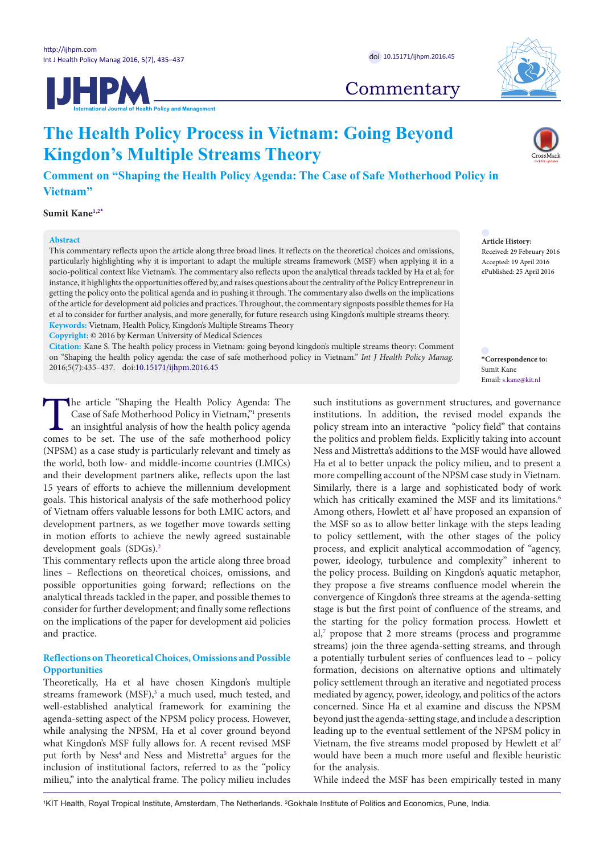



**Commentary** 

# **The Health Policy Process in Vietnam: Going Beyond Kingdon's Multiple Streams Theory**

**Comment on "Shaping the Health Policy Agenda: The Case of Safe Motherhood Policy in Vietnam"**

**Sumit Kan[e1](#page-0-0),[2](#page-0-1)[\\*](#page-0-2)**

# **Abstract**

**Article History:** Received: 29 February 2016 Accepted: 19 April 2016 ePublished: 25 April 2016

This commentary reflects upon the article along three broad lines. It reflects on the theoretical choices and omissions, particularly highlighting why it is important to adapt the multiple streams framework (MSF) when applying it in a socio-political context like Vietnam's. The commentary also reflects upon the analytical threads tackled by Ha et al; for instance, it highlights the opportunities offered by, and raises questions about the centrality of the Policy Entrepreneur in getting the policy onto the political agenda and in pushing it through. The commentary also dwells on the implications of the article for development aid policies and practices. Throughout, the commentary signposts possible themes for Ha et al to consider for further analysis, and more generally, for future research using Kingdon's multiple streams theory. **Keywords:** Vietnam, Health Policy, Kingdon's Multiple Streams Theory

**Copyright:** © 2016 by Kerman University of Medical Sciences

**Citation:** Kane S. The health policy process in Vietnam: going beyond kingdon's multiple streams theory: Comment on "Shaping the health policy agenda: the case of safe motherhood policy in Vietnam." *Int J Health Policy Manag.*  2016;5(7):435–437. doi[:10.15171/ijhpm.2016.45](http://dx.doi.org/10.15171/ijhpm.2016.45) **\*Correspondence to:**

The article "Shapi[n](#page-2-0)g the Health Policy Agenda: The Case of Safe Motherhood Policy in Vietnam,"<sup>1</sup> presents an insightful analysis of how the health policy agenda comes to be set. The use of the safe motherhood policy Case of Safe Motherhood Policy in Vietnam,"1 presents an insightful analysis of how the health policy agenda comes to be set. The use of the safe motherhood policy (NPSM) as a case study is particularly relevant and timely as the world, both low- and middle-income countries (LMICs) and their development partners alike, reflects upon the last 15 years of efforts to achieve the millennium development goals. This historical analysis of the safe motherhood policy of Vietnam offers valuable lessons for both LMIC actors, and development partners, as we together move towards setting in motion efforts to achieve the newly agreed sustainable development goals (SDGs).[2](#page-2-1)

This commentary reflects upon the article along three broad lines – Reflections on theoretical choices, omissions, and possible opportunities going forward; reflections on the analytical threads tackled in the paper, and possible themes to consider for further development; and finally some reflections on the implications of the paper for development aid policies and practice.

# **Reflections on Theoretical Choices, Omissions and Possible Opportunities**

Theoretically, Ha et al have chosen Kingdon's multiple streams framework (MSF),<sup>[3](#page-2-2)</sup> a much used, much tested, and well-established analytical framework for examining the agenda-setting aspect of the NPSM policy process. However, while analysing the NPSM, Ha et al cover ground beyond what Kingdon's MSF fully allows for. A recent revised MSF put forth by Ness<sup>4</sup> and Ness and Mistretta<sup>[5](#page-2-4)</sup> argues for the inclusion of institutional factors, referred to as the "policy milieu," into the analytical frame. The policy milieu includes

such institutions as government structures, and governance institutions. In addition, the revised model expands the policy stream into an interactive "policy field" that contains the politics and problem fields. Explicitly taking into account Ness and Mistretta's additions to the MSF would have allowed Ha et al to better unpack the policy milieu, and to present a more compelling account of the NPSM case study in Vietnam. Similarly, there is a large and sophisticated body of work which has critically examined the MSF and its limitations.<sup>6</sup> Among others, Howlett et al<sup>7</sup> have proposed an expansion of the MSF so as to allow better linkage with the steps leading to policy settlement, with the other stages of the policy process, and explicit analytical accommodation of "agency, power, ideology, turbulence and complexity" inherent to the policy process. Building on Kingdon's aquatic metaphor, they propose a five streams confluence model wherein the convergence of Kingdon's three streams at the agenda-setting stage is but the first point of confluence of the streams, and the starting for the policy formation process. Howlett et al,<sup>7</sup> propose that 2 more streams (process and programme streams) join the three agenda-setting streams, and through a potentially turbulent series of confluences lead to – policy formation, decisions on alternative options and ultimately policy settlement through an iterative and negotiated process mediated by agency, power, ideology, and politics of the actors concerned. Since Ha et al examine and discuss the NPSM beyond just the agenda-setting stage, and include a description leading up to the eventual settlement of the NPSM policy in Vietnam, the five streams model proposed by Hewlett et al<sup>7</sup> would have been a much more useful and flexible heuristic for the analysis.

While indeed the MSF has been empirically tested in many

<span id="page-0-1"></span><span id="page-0-0"></span>1 KIT Health, Royal Tropical Institute, Amsterdam, The Netherlands. 2 Gokhale Institute of Politics and Economics, Pune, India.

<span id="page-0-2"></span>Sumit Kane Email: s.kane@kit.nl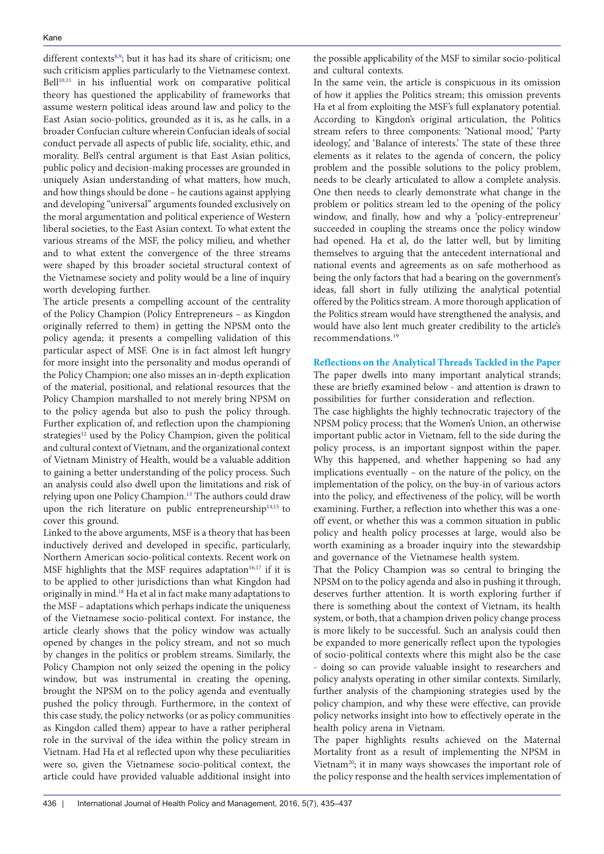different contexts<sup>[8,](#page-2-7)[9](#page-2-8)</sup>; but it has had its share of criticism; one such criticism applies particularly to the Vietnamese context. Bell<sup>[10,](#page-2-9)[11](#page-2-10)</sup> in his influential work on comparative political theory has questioned the applicability of frameworks that assume western political ideas around law and policy to the East Asian socio-politics, grounded as it is, as he calls, in a broader Confucian culture wherein Confucian ideals of social conduct pervade all aspects of public life, sociality, ethic, and morality. Bell's central argument is that East Asian politics, public policy and decision-making processes are grounded in uniquely Asian understanding of what matters, how much, and how things should be done – he cautions against applying and developing ''universal'' arguments founded exclusively on the moral argumentation and political experience of Western liberal societies, to the East Asian context. To what extent the various streams of the MSF, the policy milieu, and whether and to what extent the convergence of the three streams were shaped by this broader societal structural context of the Vietnamese society and polity would be a line of inquiry worth developing further.

The article presents a compelling account of the centrality of the Policy Champion (Policy Entrepreneurs – as Kingdon originally referred to them) in getting the NPSM onto the policy agenda; it presents a compelling validation of this particular aspect of MSF. One is in fact almost left hungry for more insight into the personality and modus operandi of the Policy Champion; one also misses an in-depth explication of the material, positional, and relational resources that the Policy Champion marshalled to not merely bring NPSM on to the policy agenda but also to push the policy through. Further explication of, and reflection upon the championing strategies<sup>[12](#page-2-11)</sup> used by the Policy Champion, given the political and cultural context of Vietnam, and the organizational context of Vietnam Ministry of Health, would be a valuable addition to gaining a better understanding of the policy process. Such an analysis could also dwell upon the limitations and risk of relying upon one Policy Champion.[13](#page-2-12) The authors could draw upon the rich literature on public entrepreneurship<sup>[14](#page-2-13),[15](#page-2-14)</sup> to cover this ground.

Linked to the above arguments, MSF is a theory that has been inductively derived and developed in specific, particularly, Northern American socio-political contexts. Recent work on MSF highlights that the MSF requires adaptation<sup>16,17</sup> if it is to be applied to other jurisdictions than what Kingdon had originally in mind.[18](#page-2-17) Ha et al in fact make many adaptations to the MSF – adaptations which perhaps indicate the uniqueness of the Vietnamese socio-political context. For instance, the article clearly shows that the policy window was actually opened by changes in the policy stream, and not so much by changes in the politics or problem streams. Similarly, the Policy Champion not only seized the opening in the policy window, but was instrumental in creating the opening, brought the NPSM on to the policy agenda and eventually pushed the policy through. Furthermore, in the context of this case study, the policy networks (or as policy communities as Kingdon called them) appear to have a rather peripheral role in the survival of the idea within the policy stream in Vietnam. Had Ha et al reflected upon why these peculiarities were so, given the Vietnamese socio-political context, the article could have provided valuable additional insight into

the possible applicability of the MSF to similar socio-political and cultural contexts.

In the same vein, the article is conspicuous in its omission of how it applies the Politics stream; this omission prevents Ha et al from exploiting the MSF's full explanatory potential. According to Kingdon's original articulation, the Politics stream refers to three components: 'National mood,' 'Party ideology,' and 'Balance of interests.' The state of these three elements as it relates to the agenda of concern, the policy problem and the possible solutions to the policy problem, needs to be clearly articulated to allow a complete analysis. One then needs to clearly demonstrate what change in the problem or politics stream led to the opening of the policy window, and finally, how and why a 'policy-entrepreneur' succeeded in coupling the streams once the policy window had opened. Ha et al, do the latter well, but by limiting themselves to arguing that the antecedent international and national events and agreements as on safe motherhood as being the only factors that had a bearing on the government's ideas, fall short in fully utilizing the analytical potential offered by the Politics stream. A more thorough application of the Politics stream would have strengthened the analysis, and would have also lent much greater credibility to the article's recommendations.[19](#page-2-18)

## **Reflections on the Analytical Threads Tackled in the Paper**

The paper dwells into many important analytical strands; these are briefly examined below - and attention is drawn to possibilities for further consideration and reflection.

The case highlights the highly technocratic trajectory of the NPSM policy process; that the Women's Union, an otherwise important public actor in Vietnam, fell to the side during the policy process, is an important signpost within the paper. Why this happened, and whether happening so had any implications eventually – on the nature of the policy, on the implementation of the policy, on the buy-in of various actors into the policy, and effectiveness of the policy, will be worth examining. Further, a reflection into whether this was a oneoff event, or whether this was a common situation in public policy and health policy processes at large, would also be worth examining as a broader inquiry into the stewardship and governance of the Vietnamese health system.

That the Policy Champion was so central to bringing the NPSM on to the policy agenda and also in pushing it through, deserves further attention. It is worth exploring further if there is something about the context of Vietnam, its health system, or both, that a champion driven policy change process is more likely to be successful. Such an analysis could then be expanded to more generically reflect upon the typologies of socio-political contexts where this might also be the case - doing so can provide valuable insight to researchers and policy analysts operating in other similar contexts. Similarly, further analysis of the championing strategies used by the policy champion, and why these were effective, can provide policy networks insight into how to effectively operate in the health policy arena in Vietnam.

The paper highlights results achieved on the Maternal Mortality front as a result of implementing the NPSM in Vietnam<sup>20</sup>; it in many ways showcases the important role of the policy response and the health services implementation of